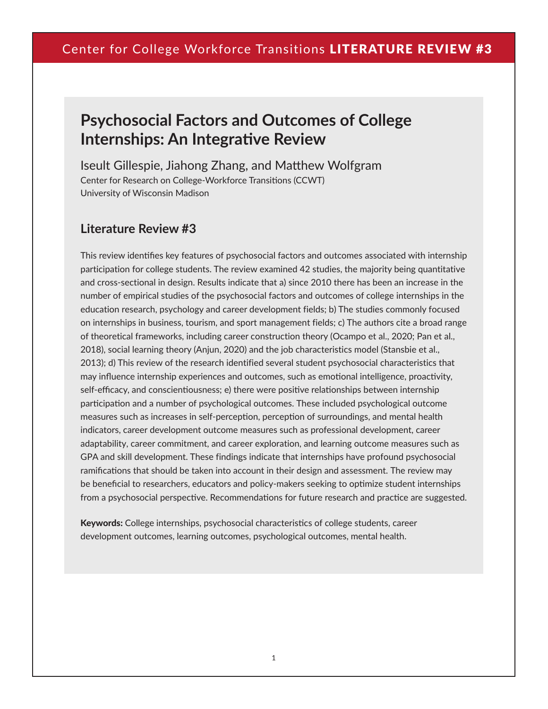# **Psychosocial Factors and Outcomes of College Internships: An Integrative Review**

Iseult Gillespie, Jiahong Zhang, and Matthew Wolfgram Center for Research on College-Workforce Transitions (CCWT) University of Wisconsin Madison

### **Literature Review #3**

This review identifies key features of psychosocial factors and outcomes associated with internship participation for college students. The review examined 42 studies, the majority being quantitative and cross-sectional in design. Results indicate that a) since 2010 there has been an increase in the number of empirical studies of the psychosocial factors and outcomes of college internships in the education research, psychology and career development fields; b) The studies commonly focused on internships in business, tourism, and sport management fields; c) The authors cite a broad range of theoretical frameworks, including career construction theory (Ocampo et al., 2020; Pan et al., 2018), social learning theory (Anjun, 2020) and the job characteristics model (Stansbie et al., 2013); d) This review of the research identified several student psychosocial characteristics that may influence internship experiences and outcomes, such as emotional intelligence, proactivity, self-efficacy, and conscientiousness; e) there were positive relationships between internship participation and a number of psychological outcomes. These included psychological outcome measures such as increases in self-perception, perception of surroundings, and mental health indicators, career development outcome measures such as professional development, career adaptability, career commitment, and career exploration, and learning outcome measures such as GPA and skill development. These findings indicate that internships have profound psychosocial ramifications that should be taken into account in their design and assessment. The review may be beneficial to researchers, educators and policy-makers seeking to optimize student internships from a psychosocial perspective. Recommendations for future research and practice are suggested.

Keywords: College internships, psychosocial characteristics of college students, career development outcomes, learning outcomes, psychological outcomes, mental health.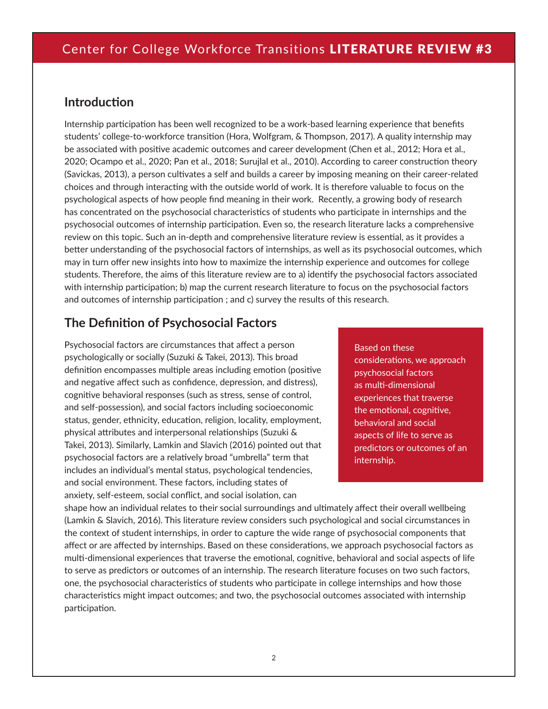### **Introduction**

Internship participation has been well recognized to be a work-based learning experience that benefits students' college-to-workforce transition (Hora, Wolfgram, & Thompson, 2017). A quality internship may be associated with positive academic outcomes and career development (Chen et al., 2012; Hora et al., 2020; Ocampo et al., 2020; Pan et al., 2018; Surujlal et al., 2010). According to career construction theory (Savickas, 2013), a person cultivates a self and builds a career by imposing meaning on their career-related choices and through interacting with the outside world of work. It is therefore valuable to focus on the psychological aspects of how people find meaning in their work. Recently, a growing body of research has concentrated on the psychosocial characteristics of students who participate in internships and the psychosocial outcomes of internship participation. Even so, the research literature lacks a comprehensive review on this topic. Such an in-depth and comprehensive literature review is essential, as it provides a better understanding of the psychosocial factors of internships, as well as its psychosocial outcomes, which may in turn offer new insights into how to maximize the internship experience and outcomes for college students. Therefore, the aims of this literature review are to a) identify the psychosocial factors associated with internship participation; b) map the current research literature to focus on the psychosocial factors and outcomes of internship participation ; and c) survey the results of this research.

### **The Definition of Psychosocial Factors**

Psychosocial factors are circumstances that affect a person psychologically or socially (Suzuki & Takei, 2013). This broad definition encompasses multiple areas including emotion (positive and negative affect such as confidence, depression, and distress), cognitive behavioral responses (such as stress, sense of control, and self-possession), and social factors including socioeconomic status, gender, ethnicity, education, religion, locality, employment, physical attributes and interpersonal relationships (Suzuki & Takei, 2013). Similarly, Lamkin and Slavich (2016) pointed out that psychosocial factors are a relatively broad "umbrella" term that includes an individual's mental status, psychological tendencies, and social environment. These factors, including states of anxiety, self-esteem, social conflict, and social isolation, can

### Based on these considerations, we approach psychosocial factors as multi-dimensional experiences that traverse the emotional, cognitive, behavioral and social

aspects of life to serve as predictors or outcomes of an internship.

shape how an individual relates to their social surroundings and ultimately affect their overall wellbeing (Lamkin & Slavich, 2016). This literature review considers such psychological and social circumstances in the context of student internships, in order to capture the wide range of psychosocial components that affect or are affected by internships. Based on these considerations, we approach psychosocial factors as multi-dimensional experiences that traverse the emotional, cognitive, behavioral and social aspects of life to serve as predictors or outcomes of an internship. The research literature focuses on two such factors, one, the psychosocial characteristics of students who participate in college internships and how those characteristics might impact outcomes; and two, the psychosocial outcomes associated with internship participation.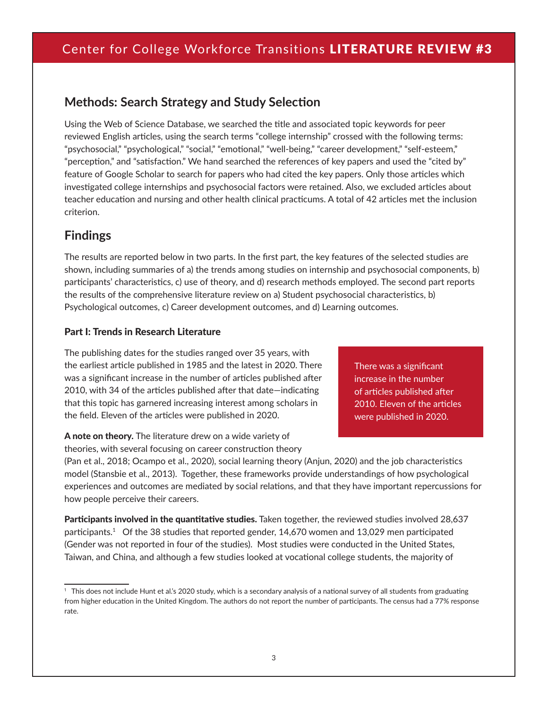## **Methods: Search Strategy and Study Selection**

Using the Web of Science Database, we searched the title and associated topic keywords for peer reviewed English articles, using the search terms "college internship" crossed with the following terms: "psychosocial," "psychological," "social," "emotional," "well-being," "career development," "self-esteem," "perception," and "satisfaction." We hand searched the references of key papers and used the "cited by" feature of Google Scholar to search for papers who had cited the key papers. Only those articles which investigated college internships and psychosocial factors were retained. Also, we excluded articles about teacher education and nursing and other health clinical practicums. A total of 42 articles met the inclusion criterion.

### **Findings**

The results are reported below in two parts. In the first part, the key features of the selected studies are shown, including summaries of a) the trends among studies on internship and psychosocial components, b) participants' characteristics, c) use of theory, and d) research methods employed. The second part reports the results of the comprehensive literature review on a) Student psychosocial characteristics, b) Psychological outcomes, c) Career development outcomes, and d) Learning outcomes.

### Part I: Trends in Research Literature

The publishing dates for the studies ranged over 35 years, with the earliest article published in 1985 and the latest in 2020. There was a significant increase in the number of articles published after 2010, with 34 of the articles published after that date—indicating that this topic has garnered increasing interest among scholars in the field. Eleven of the articles were published in 2020.

A note on theory. The literature drew on a wide variety of theories, with several focusing on career construction theory There was a significant increase in the number of articles published after 2010. Eleven of the articles were published in 2020.

(Pan et al., 2018; Ocampo et al., 2020), social learning theory (Anjun, 2020) and the job characteristics model (Stansbie et al., 2013). Together, these frameworks provide understandings of how psychological experiences and outcomes are mediated by social relations, and that they have important repercussions for how people perceive their careers.

Participants involved in the quantitative studies. Taken together, the reviewed studies involved 28,637 participants.<sup>1</sup> Of the 38 studies that reported gender, 14,670 women and 13,029 men participated (Gender was not reported in four of the studies). Most studies were conducted in the United States, Taiwan, and China, and although a few studies looked at vocational college students, the majority of

<sup>1</sup> This does not include Hunt et al.'s 2020 study, which is a secondary analysis of a national survey of all students from graduating from higher education in the United Kingdom. The authors do not report the number of participants. The census had a 77% response rate.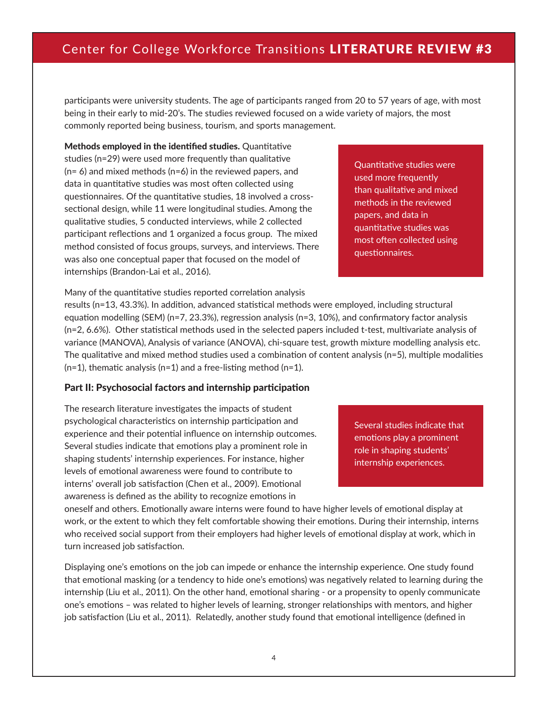participants were university students. The age of participants ranged from 20 to 57 years of age, with most being in their early to mid-20's. The studies reviewed focused on a wide variety of majors, the most commonly reported being business, tourism, and sports management.

Methods employed in the identified studies. Quantitative studies (n=29) were used more frequently than qualitative (n= 6) and mixed methods (n=6) in the reviewed papers, and data in quantitative studies was most often collected using questionnaires. Of the quantitative studies, 18 involved a crosssectional design, while 11 were longitudinal studies. Among the qualitative studies, 5 conducted interviews, while 2 collected participant reflections and 1 organized a focus group. The mixed method consisted of focus groups, surveys, and interviews. There was also one conceptual paper that focused on the model of internships (Brandon-Lai et al., 2016).

Quantitative studies were used more frequently than qualitative and mixed methods in the reviewed papers, and data in quantitative studies was most often collected using questionnaires.

Many of the quantitative studies reported correlation analysis

results (n=13, 43.3%). In addition, advanced statistical methods were employed, including structural equation modelling (SEM) (n=7, 23.3%), regression analysis (n=3, 10%), and confirmatory factor analysis (n=2, 6.6%). Other statistical methods used in the selected papers included t-test, multivariate analysis of variance (MANOVA), Analysis of variance (ANOVA), chi-square test, growth mixture modelling analysis etc. The qualitative and mixed method studies used a combination of content analysis (n=5), multiple modalities  $(n=1)$ , thematic analysis  $(n=1)$  and a free-listing method  $(n=1)$ .

#### Part II: Psychosocial factors and internship participation

The research literature investigates the impacts of student psychological characteristics on internship participation and experience and their potential influence on internship outcomes. Several studies indicate that emotions play a prominent role in shaping students' internship experiences. For instance, higher levels of emotional awareness were found to contribute to interns' overall job satisfaction (Chen et al., 2009). Emotional awareness is defined as the ability to recognize emotions in

Several studies indicate that emotions play a prominent role in shaping students' internship experiences.

oneself and others. Emotionally aware interns were found to have higher levels of emotional display at work, or the extent to which they felt comfortable showing their emotions. During their internship, interns who received social support from their employers had higher levels of emotional display at work, which in turn increased job satisfaction.

Displaying one's emotions on the job can impede or enhance the internship experience. One study found that emotional masking (or a tendency to hide one's emotions) was negatively related to learning during the internship (Liu et al., 2011). On the other hand, emotional sharing - or a propensity to openly communicate one's emotions – was related to higher levels of learning, stronger relationships with mentors, and higher job satisfaction (Liu et al., 2011). Relatedly, another study found that emotional intelligence (defined in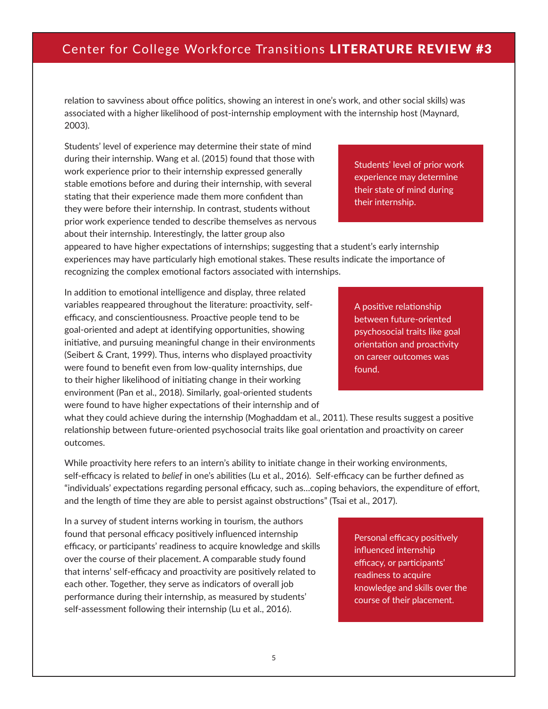relation to savviness about office politics, showing an interest in one's work, and other social skills) was associated with a higher likelihood of post-internship employment with the internship host (Maynard, 2003).

Students' level of experience may determine their state of mind during their internship. Wang et al. (2015) found that those with work experience prior to their internship expressed generally stable emotions before and during their internship, with several stating that their experience made them more confident than they were before their internship. In contrast, students without prior work experience tended to describe themselves as nervous about their internship. Interestingly, the latter group also

Students' level of prior work experience may determine their state of mind during their internship.

appeared to have higher expectations of internships; suggesting that a student's early internship experiences may have particularly high emotional stakes. These results indicate the importance of recognizing the complex emotional factors associated with internships.

In addition to emotional intelligence and display, three related variables reappeared throughout the literature: proactivity, selfefficacy, and conscientiousness. Proactive people tend to be goal-oriented and adept at identifying opportunities, showing initiative, and pursuing meaningful change in their environments (Seibert & Crant, 1999). Thus, interns who displayed proactivity were found to benefit even from low-quality internships, due to their higher likelihood of initiating change in their working environment (Pan et al., 2018). Similarly, goal-oriented students were found to have higher expectations of their internship and of

A positive relationship between future-oriented psychosocial traits like goal orientation and proactivity on career outcomes was found.

what they could achieve during the internship (Moghaddam et al., 2011). These results suggest a positive relationship between future-oriented psychosocial traits like goal orientation and proactivity on career outcomes.

While proactivity here refers to an intern's ability to initiate change in their working environments, self-efficacy is related to *belief* in one's abilities (Lu et al., 2016). Self-efficacy can be further defined as "individuals' expectations regarding personal efficacy, such as…coping behaviors, the expenditure of effort, and the length of time they are able to persist against obstructions" (Tsai et al., 2017).

In a survey of student interns working in tourism, the authors found that personal efficacy positively influenced internship efficacy, or participants' readiness to acquire knowledge and skills over the course of their placement. A comparable study found that interns' self-efficacy and proactivity are positively related to each other. Together, they serve as indicators of overall job performance during their internship, as measured by students' self-assessment following their internship (Lu et al., 2016).

Personal efficacy positively influenced internship efficacy, or participants' readiness to acquire knowledge and skills over the course of their placement.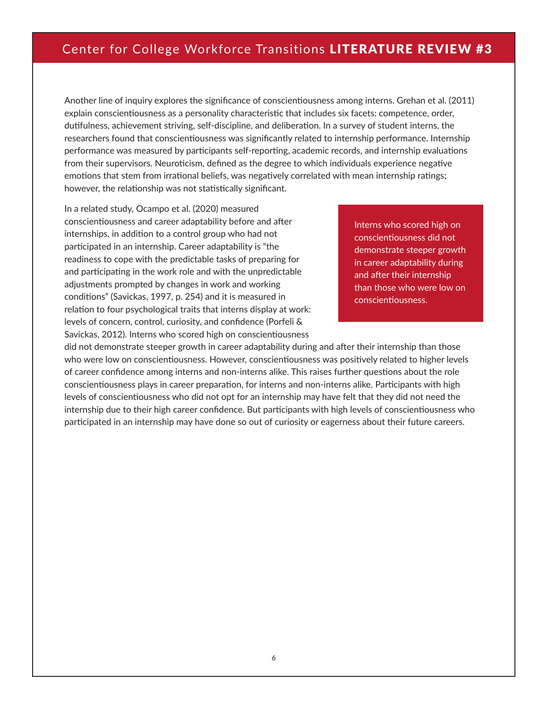Another line of inquiry explores the significance of conscientiousness among interns. Grehan et al. (2011) explain conscientiousness as a personality characteristic that includes six facets: competence, order, dutifulness, achievement striving, self-discipline, and deliberation. In a survey of student interns, the researchers found that conscientiousness was significantly related to internship performance. Internship performance was measured by participants self-reporting, academic records, and internship evaluations from their supervisors. Neuroticism, defined as the degree to which individuals experience negative emotions that stem from irrational beliefs, was negatively correlated with mean internship ratings; however, the relationship was not statistically significant.

In a related study, Ocampo et al. (2020) measured conscientiousness and career adaptability before and after internships, in addition to a control group who had not participated in an internship. Career adaptability is "the readiness to cope with the predictable tasks of preparing for and participating in the work role and with the unpredictable adjustments prompted by changes in work and working conditions" (Savickas, 1997, p. 254) and it is measured in relation to four psychological traits that interns display at work: levels of concern, control, curiosity, and confidence (Porfeli & Savickas, 2012). Interns who scored high on conscientiousness

Interns who scored high on conscientiousness did not demonstrate steeper growth in career adaptability during and after their internship than those who were low on conscientiousness.

did not demonstrate steeper growth in career adaptability during and after their internship than those who were low on conscientiousness. However, conscientiousness was positively related to higher levels of career confidence among interns and non-interns alike. This raises further questions about the role conscientiousness plays in career preparation, for interns and non-interns alike. Participants with high levels of conscientiousness who did not opt for an internship may have felt that they did not need the internship due to their high career confidence. But participants with high levels of conscientiousness who participated in an internship may have done so out of curiosity or eagerness about their future careers.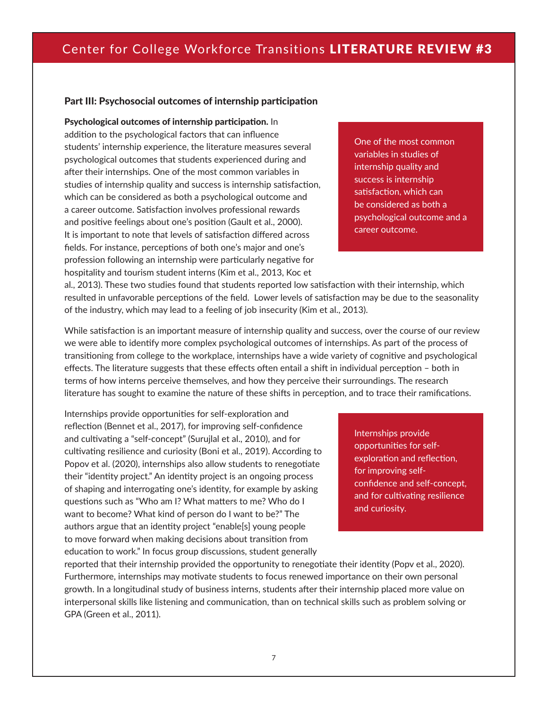### Part III: Psychosocial outcomes of internship participation

Psychological outcomes of internship participation. In

addition to the psychological factors that can influence students' internship experience, the literature measures several psychological outcomes that students experienced during and after their internships. One of the most common variables in studies of internship quality and success is internship satisfaction, which can be considered as both a psychological outcome and a career outcome. Satisfaction involves professional rewards and positive feelings about one's position (Gault et al., 2000). It is important to note that levels of satisfaction differed across fields. For instance, perceptions of both one's major and one's profession following an internship were particularly negative for hospitality and tourism student interns (Kim et al., 2013, Koc et

One of the most common variables in studies of internship quality and success is internship satisfaction, which can be considered as both a psychological outcome and a career outcome.

al., 2013). These two studies found that students reported low satisfaction with their internship, which resulted in unfavorable perceptions of the field. Lower levels of satisfaction may be due to the seasonality of the industry, which may lead to a feeling of job insecurity (Kim et al., 2013).

While satisfaction is an important measure of internship quality and success, over the course of our review we were able to identify more complex psychological outcomes of internships. As part of the process of transitioning from college to the workplace, internships have a wide variety of cognitive and psychological effects. The literature suggests that these effects often entail a shift in individual perception – both in terms of how interns perceive themselves, and how they perceive their surroundings. The research literature has sought to examine the nature of these shifts in perception, and to trace their ramifications.

Internships provide opportunities for self-exploration and reflection (Bennet et al., 2017), for improving self-confidence and cultivating a "self-concept" (Surujlal et al., 2010), and for cultivating resilience and curiosity (Boni et al., 2019). According to Popov et al. (2020), internships also allow students to renegotiate their "identity project." An identity project is an ongoing process of shaping and interrogating one's identity, for example by asking questions such as "Who am I? What matters to me? Who do I want to become? What kind of person do I want to be?" The authors argue that an identity project "enable[s] young people to move forward when making decisions about transition from education to work." In focus group discussions, student generally

Internships provide opportunities for selfexploration and reflection, for improving selfconfidence and self-concept, and for cultivating resilience and curiosity.

reported that their internship provided the opportunity to renegotiate their identity (Popv et al., 2020). Furthermore, internships may motivate students to focus renewed importance on their own personal growth. In a longitudinal study of business interns, students after their internship placed more value on interpersonal skills like listening and communication, than on technical skills such as problem solving or GPA (Green et al., 2011).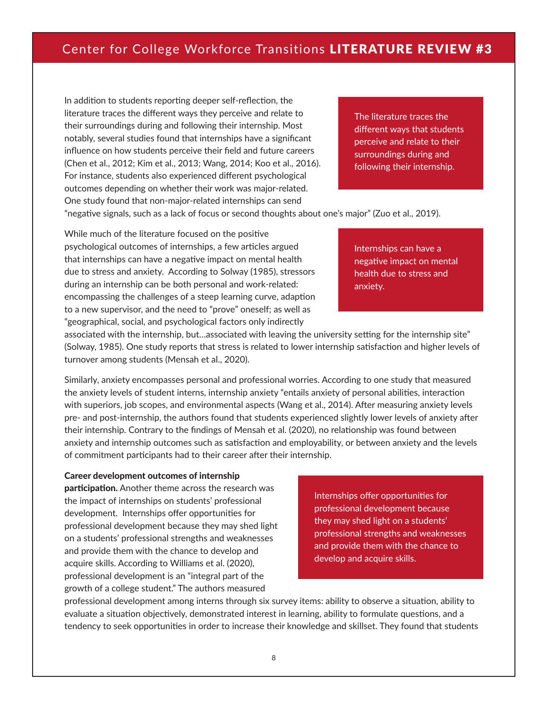In addition to students reporting deeper self-reflection, the literature traces the different ways they perceive and relate to their surroundings during and following their internship. Most notably, several studies found that internships have a significant influence on how students perceive their field and future careers (Chen et al., 2012; Kim et al., 2013; Wang, 2014; Koo et al., 2016). For instance, students also experienced different psychological outcomes depending on whether their work was major-related. One study found that non-major-related internships can send

The literature traces the different ways that students perceive and relate to their surroundings during and following their internship.

"negative signals, such as a lack of focus or second thoughts about one's major" (Zuo et al., 2019).

While much of the literature focused on the positive psychological outcomes of internships, a few articles argued that internships can have a negative impact on mental health due to stress and anxiety. According to Solway (1985), stressors during an internship can be both personal and work-related: encompassing the challenges of a steep learning curve, adaption to a new supervisor, and the need to "prove" oneself; as well as "geographical, social, and psychological factors only indirectly

Internships can have a negative impact on mental health due to stress and anxiety.

associated with the internship, but…associated with leaving the university setting for the internship site" (Solway, 1985). One study reports that stress is related to lower internship satisfaction and higher levels of turnover among students (Mensah et al., 2020).

Similarly, anxiety encompasses personal and professional worries. According to one study that measured the anxiety levels of student interns, internship anxiety "entails anxiety of personal abilities, interaction with superiors, job scopes, and environmental aspects (Wang et al., 2014). After measuring anxiety levels pre- and post-internship, the authors found that students experienced slightly lower levels of anxiety after their internship. Contrary to the findings of Mensah et al. (2020), no relationship was found between anxiety and internship outcomes such as satisfaction and employability, or between anxiety and the levels of commitment participants had to their career after their internship.

#### Career development outcomes of internship

participation. Another theme across the research was the impact of internships on students' professional development. Internships offer opportunities for professional development because they may shed light on a students' professional strengths and weaknesses and provide them with the chance to develop and acquire skills. According to Williams et al. (2020), professional development is an "integral part of the growth of a college student." The authors measured

Internships offer opportunities for professional development because they may shed light on a students' professional strengths and weaknesses and provide them with the chance to develop and acquire skills.

professional development among interns through six survey items: ability to observe a situation, ability to evaluate a situation objectively, demonstrated interest in learning, ability to formulate questions, and a tendency to seek opportunities in order to increase their knowledge and skillset. They found that students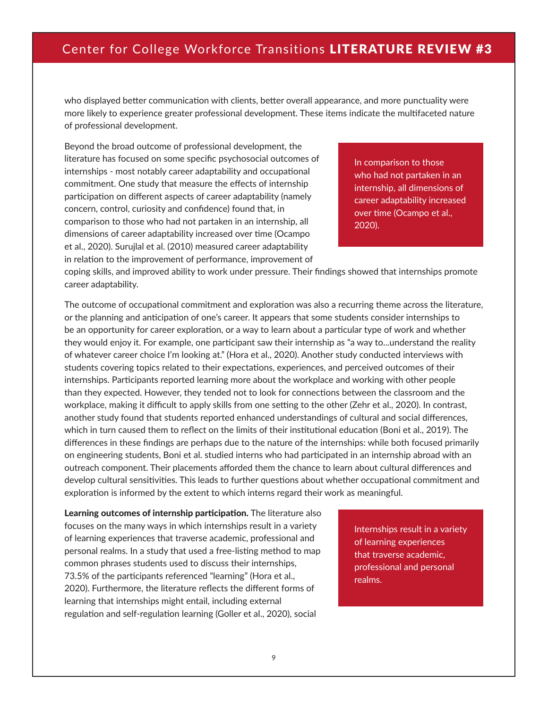who displayed better communication with clients, better overall appearance, and more punctuality were more likely to experience greater professional development. These items indicate the multifaceted nature of professional development.

Beyond the broad outcome of professional development, the literature has focused on some specific psychosocial outcomes of internships - most notably career adaptability and occupational commitment. One study that measure the effects of internship participation on different aspects of career adaptability (namely concern, control, curiosity and confidence) found that, in comparison to those who had not partaken in an internship, all dimensions of career adaptability increased over time (Ocampo et al., 2020). Surujlal et al. (2010) measured career adaptability in relation to the improvement of performance, improvement of

In comparison to those who had not partaken in an internship, all dimensions of career adaptability increased over time (Ocampo et al., 2020).

coping skills, and improved ability to work under pressure. Their findings showed that internships promote career adaptability.

The outcome of occupational commitment and exploration was also a recurring theme across the literature, or the planning and anticipation of one's career. It appears that some students consider internships to be an opportunity for career exploration, or a way to learn about a particular type of work and whether they would enjoy it. For example, one participant saw their internship as "a way to...understand the reality of whatever career choice I'm looking at." (Hora et al., 2020). Another study conducted interviews with students covering topics related to their expectations, experiences, and perceived outcomes of their internships. Participants reported learning more about the workplace and working with other people than they expected. However, they tended not to look for connections between the classroom and the workplace, making it difficult to apply skills from one setting to the other (Zehr et al., 2020). In contrast, another study found that students reported enhanced understandings of cultural and social differences, which in turn caused them to reflect on the limits of their institutional education (Boni et al., 2019). The differences in these findings are perhaps due to the nature of the internships: while both focused primarily on engineering students, Boni et al. studied interns who had participated in an internship abroad with an outreach component. Their placements afforded them the chance to learn about cultural differences and develop cultural sensitivities. This leads to further questions about whether occupational commitment and exploration is informed by the extent to which interns regard their work as meaningful.

Learning outcomes of internship participation. The literature also focuses on the many ways in which internships result in a variety of learning experiences that traverse academic, professional and personal realms. In a study that used a free-listing method to map common phrases students used to discuss their internships, 73.5% of the participants referenced "learning" (Hora et al., 2020). Furthermore, the literature reflects the different forms of learning that internships might entail, including external regulation and self-regulation learning (Goller et al., 2020), social

Internships result in a variety of learning experiences that traverse academic, professional and personal realms.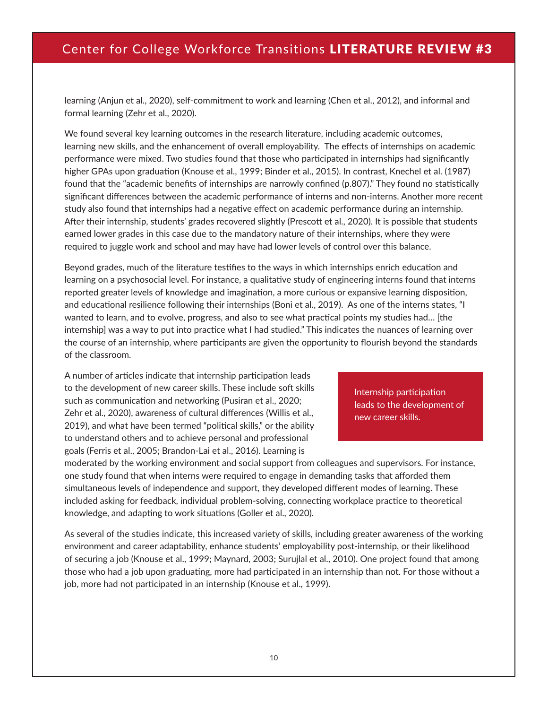learning (Anjun et al., 2020), self-commitment to work and learning (Chen et al., 2012), and informal and formal learning (Zehr et al., 2020).

We found several key learning outcomes in the research literature, including academic outcomes, learning new skills, and the enhancement of overall employability. The effects of internships on academic performance were mixed. Two studies found that those who participated in internships had significantly higher GPAs upon graduation (Knouse et al., 1999; Binder et al., 2015). In contrast, Knechel et al. (1987) found that the "academic benefits of internships are narrowly confined (p.807)." They found no statistically significant differences between the academic performance of interns and non-interns. Another more recent study also found that internships had a negative effect on academic performance during an internship. After their internship, students' grades recovered slightly (Prescott et al., 2020). It is possible that students earned lower grades in this case due to the mandatory nature of their internships, where they were required to juggle work and school and may have had lower levels of control over this balance.

Beyond grades, much of the literature testifies to the ways in which internships enrich education and learning on a psychosocial level. For instance, a qualitative study of engineering interns found that interns reported greater levels of knowledge and imagination, a more curious or expansive learning disposition, and educational resilience following their internships (Boni et al., 2019). As one of the interns states, "I wanted to learn, and to evolve, progress, and also to see what practical points my studies had… [the internship] was a way to put into practice what I had studied." This indicates the nuances of learning over the course of an internship, where participants are given the opportunity to flourish beyond the standards of the classroom.

A number of articles indicate that internship participation leads to the development of new career skills. These include soft skills such as communication and networking (Pusiran et al., 2020; Zehr et al., 2020), awareness of cultural differences (Willis et al., 2019), and what have been termed "political skills," or the ability to understand others and to achieve personal and professional goals (Ferris et al., 2005; Brandon-Lai et al., 2016). Learning is

Internship participation leads to the development of new career skills.

moderated by the working environment and social support from colleagues and supervisors. For instance, one study found that when interns were required to engage in demanding tasks that afforded them simultaneous levels of independence and support, they developed different modes of learning. These included asking for feedback, individual problem-solving, connecting workplace practice to theoretical knowledge, and adapting to work situations (Goller et al., 2020).

As several of the studies indicate, this increased variety of skills, including greater awareness of the working environment and career adaptability, enhance students' employability post-internship, or their likelihood of securing a job (Knouse et al., 1999; Maynard, 2003; Surujlal et al., 2010). One project found that among those who had a job upon graduating, more had participated in an internship than not. For those without a job, more had not participated in an internship (Knouse et al., 1999).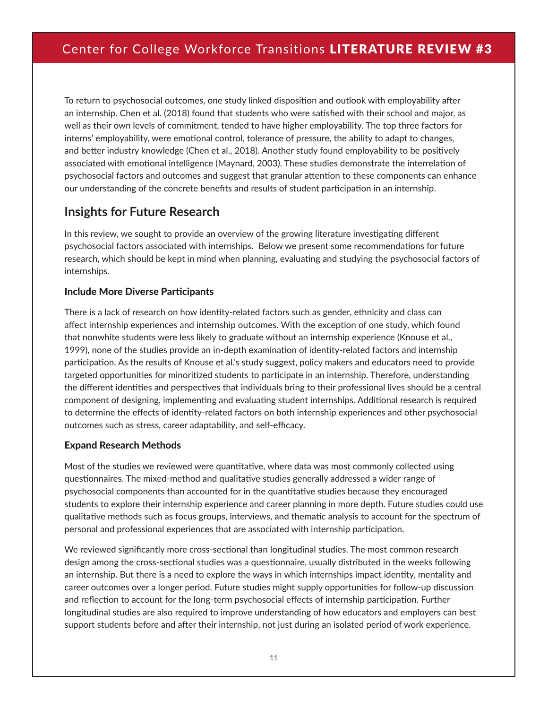To return to psychosocial outcomes, one study linked disposition and outlook with employability after an internship. Chen et al. (2018) found that students who were satisfied with their school and major, as well as their own levels of commitment, tended to have higher employability. The top three factors for interns' employability, were emotional control, tolerance of pressure, the ability to adapt to changes, and better industry knowledge (Chen et al., 2018). Another study found employability to be positively associated with emotional intelligence (Maynard, 2003). These studies demonstrate the interrelation of psychosocial factors and outcomes and suggest that granular attention to these components can enhance our understanding of the concrete benefits and results of student participation in an internship.

### **Insights for Future Research**

In this review, we sought to provide an overview of the growing literature investigating different psychosocial factors associated with internships. Below we present some recommendations for future research, which should be kept in mind when planning, evaluating and studying the psychosocial factors of internships.

### Include More Diverse Participants

There is a lack of research on how identity-related factors such as gender, ethnicity and class can affect internship experiences and internship outcomes. With the exception of one study, which found that nonwhite students were less likely to graduate without an internship experience (Knouse et al., 1999), none of the studies provide an in-depth examination of identity-related factors and internship participation. As the results of Knouse et al.'s study suggest, policy makers and educators need to provide targeted opportunities for minoritized students to participate in an internship. Therefore, understanding the different identities and perspectives that individuals bring to their professional lives should be a central component of designing, implementing and evaluating student internships. Additional research is required to determine the effects of identity-related factors on both internship experiences and other psychosocial outcomes such as stress, career adaptability, and self-efficacy.

### Expand Research Methods

Most of the studies we reviewed were quantitative, where data was most commonly collected using questionnaires. The mixed-method and qualitative studies generally addressed a wider range of psychosocial components than accounted for in the quantitative studies because they encouraged students to explore their internship experience and career planning in more depth. Future studies could use qualitative methods such as focus groups, interviews, and thematic analysis to account for the spectrum of personal and professional experiences that are associated with internship participation.

We reviewed significantly more cross-sectional than longitudinal studies. The most common research design among the cross-sectional studies was a questionnaire, usually distributed in the weeks following an internship. But there is a need to explore the ways in which internships impact identity, mentality and career outcomes over a longer period. Future studies might supply opportunities for follow-up discussion and reflection to account for the long-term psychosocial effects of internship participation. Further longitudinal studies are also required to improve understanding of how educators and employers can best support students before and after their internship, not just during an isolated period of work experience.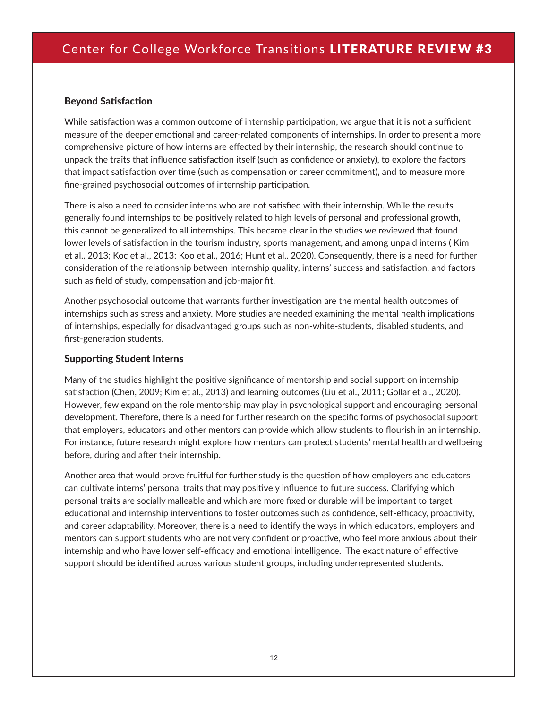### Beyond Satisfaction

While satisfaction was a common outcome of internship participation, we argue that it is not a sufficient measure of the deeper emotional and career-related components of internships. In order to present a more comprehensive picture of how interns are effected by their internship, the research should continue to unpack the traits that influence satisfaction itself (such as confidence or anxiety), to explore the factors that impact satisfaction over time (such as compensation or career commitment), and to measure more fine-grained psychosocial outcomes of internship participation.

There is also a need to consider interns who are not satisfied with their internship. While the results generally found internships to be positively related to high levels of personal and professional growth, this cannot be generalized to all internships. This became clear in the studies we reviewed that found lower levels of satisfaction in the tourism industry, sports management, and among unpaid interns ( Kim et al., 2013; Koc et al., 2013; Koo et al., 2016; Hunt et al., 2020). Consequently, there is a need for further consideration of the relationship between internship quality, interns' success and satisfaction, and factors such as field of study, compensation and job-major fit.

Another psychosocial outcome that warrants further investigation are the mental health outcomes of internships such as stress and anxiety. More studies are needed examining the mental health implications of internships, especially for disadvantaged groups such as non-white-students, disabled students, and first-generation students.

### Supporting Student Interns

Many of the studies highlight the positive significance of mentorship and social support on internship satisfaction (Chen, 2009; Kim et al., 2013) and learning outcomes (Liu et al., 2011; Gollar et al., 2020). However, few expand on the role mentorship may play in psychological support and encouraging personal development. Therefore, there is a need for further research on the specific forms of psychosocial support that employers, educators and other mentors can provide which allow students to flourish in an internship. For instance, future research might explore how mentors can protect students' mental health and wellbeing before, during and after their internship.

Another area that would prove fruitful for further study is the question of how employers and educators can cultivate interns' personal traits that may positively influence to future success. Clarifying which personal traits are socially malleable and which are more fixed or durable will be important to target educational and internship interventions to foster outcomes such as confidence, self-efficacy, proactivity, and career adaptability. Moreover, there is a need to identify the ways in which educators, employers and mentors can support students who are not very confident or proactive, who feel more anxious about their internship and who have lower self-efficacy and emotional intelligence. The exact nature of effective support should be identified across various student groups, including underrepresented students.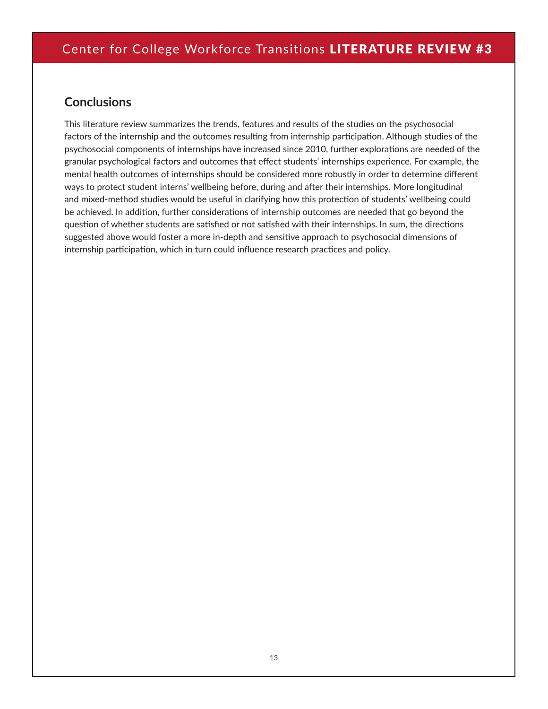## **Conclusions**

This literature review summarizes the trends, features and results of the studies on the psychosocial factors of the internship and the outcomes resulting from internship participation. Although studies of the psychosocial components of internships have increased since 2010, further explorations are needed of the granular psychological factors and outcomes that effect students' internships experience. For example, the mental health outcomes of internships should be considered more robustly in order to determine different ways to protect student interns' wellbeing before, during and after their internships. More longitudinal and mixed-method studies would be useful in clarifying how this protection of students' wellbeing could be achieved. In addition, further considerations of internship outcomes are needed that go beyond the question of whether students are satisfied or not satisfied with their internships. In sum, the directions suggested above would foster a more in-depth and sensitive approach to psychosocial dimensions of internship participation, which in turn could influence research practices and policy.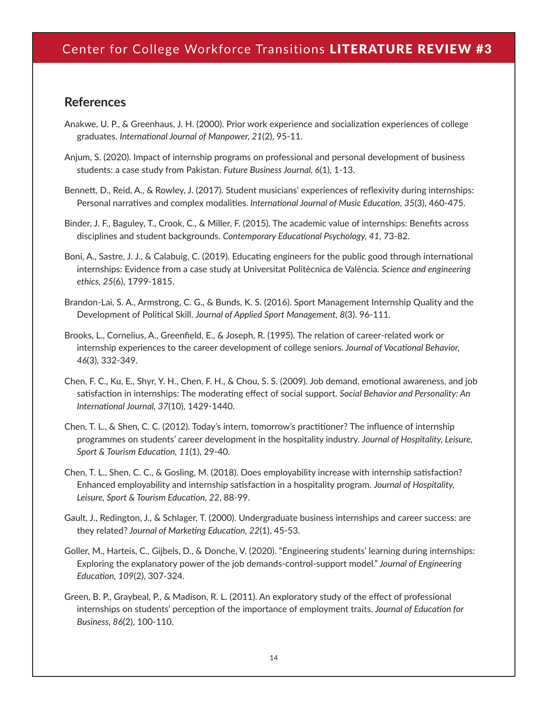### **References**

- Anakwe, U. P., & Greenhaus, J. H. (2000). Prior work experience and socialization experiences of college graduates. *International Journal of Manpower, 21*(2), 95-11.
- Anjum, S. (2020). Impact of internship programs on professional and personal development of business students: a case study from Pakistan. *Future Business Journal, 6*(1), 1-13.
- Bennett, D., Reid, A., & Rowley, J. (2017). Student musicians' experiences of reflexivity during internships: Personal narratives and complex modalities. *International Journal of Music Education, 35*(3), 460-475.
- Binder, J. F., Baguley, T., Crook, C., & Miller, F. (2015). The academic value of internships: Benefits across disciplines and student backgrounds. *Contemporary Educational Psychology, 41,* 73-82.
- Boni, A., Sastre, J. J., & Calabuig, C. (2019). Educating engineers for the public good through international internships: Evidence from a case study at Universitat Politècnica de València. *Science and engineering ethics, 25*(6), 1799-1815.
- Brandon-Lai, S. A., Armstrong, C. G., & Bunds, K. S. (2016). Sport Management Internship Quality and the Development of Political Skill. *Journal of Applied Sport Management, 8*(3). 96-111.
- Brooks, L., Cornelius, A., Greenfield, E., & Joseph, R. (1995). The relation of career-related work or internship experiences to the career development of college seniors. *Journal of Vocational Behavior, 46*(3), 332-349.
- Chen, F. C., Ku, E., Shyr, Y. H., Chen, F. H., & Chou, S. S. (2009). Job demand, emotional awareness, and job satisfaction in internships: The moderating effect of social support. *Social Behavior and Personality: An International Journal, 37*(10), 1429-1440.
- Chen, T. L., & Shen, C. C. (2012). Today's intern, tomorrow's practitioner? The influence of internship programmes on students' career development in the hospitality industry. *Journal of Hospitality, Leisure, Sport & Tourism Education, 11*(1), 29-40.
- Chen, T. L., Shen, C. C., & Gosling, M. (2018). Does employability increase with internship satisfaction? Enhanced employability and internship satisfaction in a hospitality program. *Journal of Hospitality, Leisure, Sport & Tourism Education, 22*, 88-99.
- Gault, J., Redington, J., & Schlager, T. (2000). Undergraduate business internships and career success: are they related? *Journal of Marketing Education, 22*(1), 45-53.
- Goller, M., Harteis, C., Gijbels, D., & Donche, V. (2020). "Engineering students' learning during internships: Exploring the explanatory power of the job demands‐control‐support model." *Journal of Engineering Education, 109*(2), 307-324.
- Green, B. P., Graybeal, P., & Madison, R. L. (2011). An exploratory study of the effect of professional internships on students' perception of the importance of employment traits. *Journal of Education for Business, 86*(2), 100-110.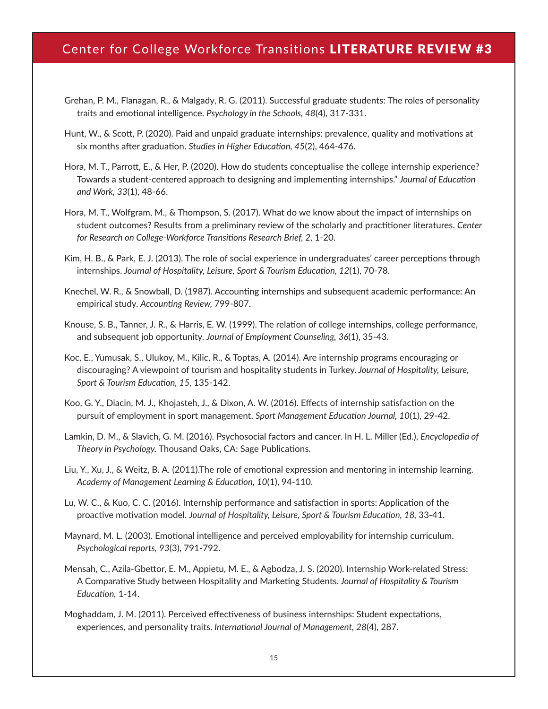- Grehan, P. M., Flanagan, R., & Malgady, R. G. (2011). Successful graduate students: The roles of personality traits and emotional intelligence. *Psychology in the Schools, 48*(4), 317-331.
- Hunt, W., & Scott, P. (2020). Paid and unpaid graduate internships: prevalence, quality and motivations at six months after graduation. *Studies in Higher Education, 45*(2), 464-476.
- Hora, M. T., Parrott, E., & Her, P. (2020). How do students conceptualise the college internship experience? Towards a student-centered approach to designing and implementing internships." *Journal of Education and Work, 33*(1), 48-66.
- Hora, M. T., Wolfgram, M., & Thompson, S. (2017). What do we know about the impact of internships on student outcomes? Results from a preliminary review of the scholarly and practitioner literatures. *Center for Research on College-Workforce Transitions Research Brief, 2,* 1-20.
- Kim, H. B., & Park, E. J. (2013). The role of social experience in undergraduates' career perceptions through internships. *Journal of Hospitality, Leisure, Sport & Tourism Education, 12*(1), 70-78.
- Knechel, W. R., & Snowball, D. (1987). Accounting internships and subsequent academic performance: An empirical study. *Accounting Review,* 799-807.
- Knouse, S. B., Tanner, J. R., & Harris, E. W. (1999). The relation of college internships, college performance, and subsequent job opportunity. *Journal of Employment Counseling, 36*(1), 35-43.
- Koc, E., Yumusak, S., Ulukoy, M., Kilic, R., & Toptas, A. (2014). Are internship programs encouraging or discouraging? A viewpoint of tourism and hospitality students in Turkey. *Journal of Hospitality, Leisure, Sport & Tourism Education, 15,* 135-142.
- Koo, G. Y., Diacin, M. J., Khojasteh, J., & Dixon, A. W. (2016). Effects of internship satisfaction on the pursuit of employment in sport management. *Sport Management Education Journal, 10*(1), 29-42.
- Lamkin, D. M., & Slavich, G. M. (2016). Psychosocial factors and cancer. In H. L. Miller (Ed.), *Encyclopedia of Theory in Psychology.* Thousand Oaks, CA: Sage Publications.
- Liu, Y., Xu, J., & Weitz, B. A. (2011).The role of emotional expression and mentoring in internship learning. *Academy of Management Learning & Education, 10*(1), 94-110.
- Lu, W. C., & Kuo, C. C. (2016). Internship performance and satisfaction in sports: Application of the proactive motivation model. *Journal of Hospitality, Leisure, Sport & Tourism Education, 18, 33-41.*
- Maynard, M. L. (2003). Emotional intelligence and perceived employability for internship curriculum. *Psychological reports, 93*(3), 791-792.
- Mensah, C., Azila-Gbettor, E. M., Appietu, M. E., & Agbodza, J. S. (2020). Internship Work-related Stress: A Comparative Study between Hospitality and Marketing Students. *Journal of Hospitality & Tourism Education,* 1-14.
- Moghaddam, J. M. (2011). Perceived effectiveness of business internships: Student expectations, experiences, and personality traits. *International Journal of Management, 28*(4), 287.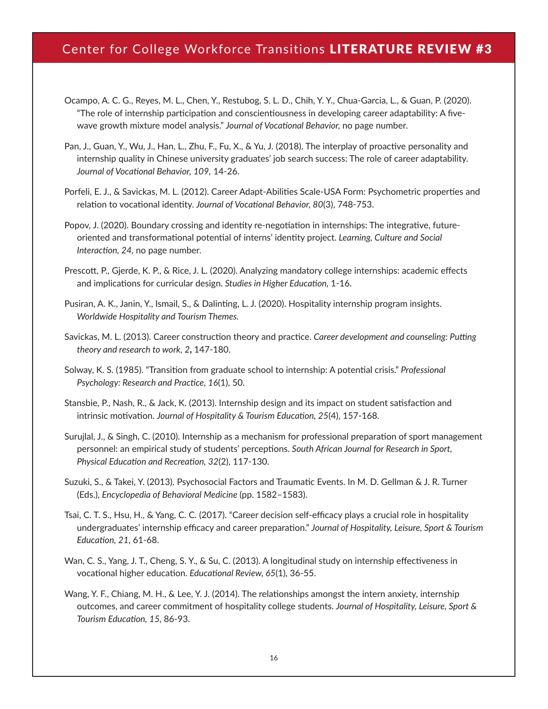- Ocampo, A. C. G., Reyes, M. L., Chen, Y., Restubog, S. L. D., Chih, Y. Y., Chua-Garcia, L., & Guan, P. (2020). "The role of internship participation and conscientiousness in developing career adaptability: A fivewave growth mixture model analysis." *Journal of Vocational Behavior,* no page number.
- Pan, J., Guan, Y., Wu, J., Han, L., Zhu, F., Fu, X., & Yu, J. (2018). The interplay of proactive personality and internship quality in Chinese university graduates' job search success: The role of career adaptability. *Journal of Vocational Behavior, 109,* 14-26.
- Porfeli, E. J., & Savickas, M. L. (2012). Career Adapt-Abilities Scale-USA Form: Psychometric properties and relation to vocational identity. *Journal of Vocational Behavior, 80*(3), 748-753.
- Popov, J. (2020). Boundary crossing and identity re-negotiation in internships: The integrative, futureoriented and transformational potential of interns' identity project. *Learning, Culture and Social Interaction, 24,* no page number.
- Prescott, P., Gjerde, K. P., & Rice, J. L. (2020). Analyzing mandatory college internships: academic effects and implications for curricular design. *Studies in Higher Education,* 1-16.
- Pusiran, A. K., Janin, Y., Ismail, S., & Dalinting, L. J. (2020). Hospitality internship program insights. *Worldwide Hospitality and Tourism Themes.*
- Savickas, M. L. (2013). Career construction theory and practice. *Career development and counseling: Putting theory and research to work, 2*, 147-180.
- Solway, K. S. (1985). "Transition from graduate school to internship: A potential crisis." *Professional Psychology: Research and Practice, 16*(1), 50.
- Stansbie, P., Nash, R., & Jack, K. (2013). Internship design and its impact on student satisfaction and intrinsic motivation. *Journal of Hospitality & Tourism Education, 25*(4), 157-168.
- Surujlal, J., & Singh, C. (2010). Internship as a mechanism for professional preparation of sport management personnel: an empirical study of students' perceptions. *South African Journal for Research in Sport, Physical Education and Recreation, 32*(2), 117-130.
- Suzuki, S., & Takei, Y. (2013). Psychosocial Factors and Traumatic Events. In M. D. Gellman & J. R. Turner (Eds.), *Encyclopedia of Behavioral Medicine* (pp. 1582–1583).
- Tsai, C. T. S., Hsu, H., & Yang, C. C. (2017). "Career decision self-efficacy plays a crucial role in hospitality undergraduates' internship efficacy and career preparation." *Journal of Hospitality, Leisure, Sport & Tourism Education, 21*, 61-68.
- Wan, C. S., Yang, J. T., Cheng, S. Y., & Su, C. (2013). A longitudinal study on internship effectiveness in vocational higher education. *Educational Review, 65*(1), 36-55.
- Wang, Y. F., Chiang, M. H., & Lee, Y. J. (2014). The relationships amongst the intern anxiety, internship outcomes, and career commitment of hospitality college students. *Journal of Hospitality, Leisure, Sport & Tourism Education, 15,* 86-93.